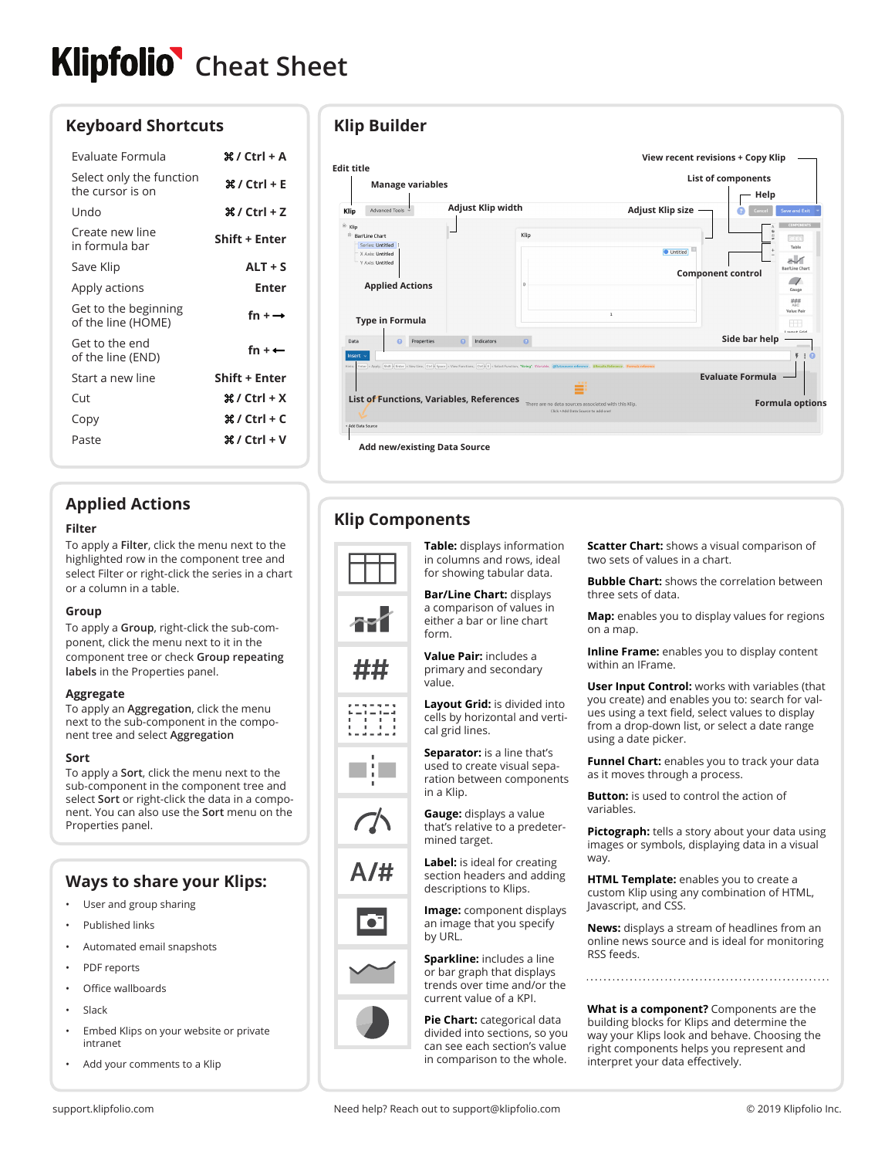# **Klipfolio** Cheat Sheet

## **Keyboard Shortcuts**

| Evaluate Formula                             | 9ደ / Ctrl + A            |
|----------------------------------------------|--------------------------|
| Select only the function<br>the cursor is on | 9ደ / Ctrl + E            |
| Undo                                         |                          |
| Create new line<br>in formula bar            | Shift + Enter            |
| Save Klip                                    | $ALT + S$                |
| Apply actions                                | Enter                    |
| Get to the beginning<br>of the line (HOME)   | fn + $\rightarrow$       |
| Get to the end<br>of the line (END)          | fn + $\leftarrow$        |
| Start a new line                             | Shift + Enter            |
| Cut                                          | $\frac{1}{2}$ / Ctrl + X |
| Copy                                         |                          |
| Paste                                        | 90/ / Ctrl + V           |
|                                              |                          |

## **Applied Actions**

#### **Filter**

To apply a **Filter**, click the menu next to the highlighted row in the component tree and select Filter or right-click the series in a chart or a column in a table.

#### **Group**

To apply a **Group**, right-click the sub-component, click the menu next to it in the component tree or check **Group repeating labels** in the Properties panel.

#### **Aggregate**

To apply an **Aggregation**, click the menu next to the sub-component in the component tree and select **Aggregation**

#### **Sort**

To apply a **Sort**, click the menu next to the sub-component in the component tree and select **Sort** or right-click the data in a component. You can also use the **Sort** menu on the Properties panel.

# **Ways to share your Klips:**

- User and group sharing
- Published links
- Automated email snapshots
- PDF reports
- Office wallboards
- **Slack**
- Embed Klips on your website or private intranet
- Add your comments to a Klip

## **Klip Builder**



# **Klip Components**









**Table:** displays information in columns and rows, ideal for showing tabular data.

**Bar/Line Chart:** displays a comparison of values in either a bar or line chart form.

**Value Pair:** includes a primary and secondary value.

**Layout Grid:** is divided into cells by horizontal and vertical grid lines.

**Separator:** is a line that's used to create visual separation between components in a Klip.

**Gauge:** displays a value that's relative to a predetermined target.

**Label:** is ideal for creating section headers and adding descriptions to Klips.

**Image:** component displays an image that you specify by URL.

**Sparkline:** includes a line or bar graph that displays trends over time and/or the current value of a KPI.

**Pie Chart:** categorical data divided into sections, so you can see each section's value in comparison to the whole.

**Scatter Chart:** shows a visual comparison of two sets of values in a chart.

**Bubble Chart:** shows the correlation between three sets of data.

**Map:** enables you to display values for regions on a map.

**Inline Frame:** enables you to display content within an IFrame.

**User Input Control:** works with variables (that you create) and enables you to: search for values using a text field, select values to display from a drop-down list, or select a date range using a date picker.

**Funnel Chart:** enables you to track your data as it moves through a process.

**Button:** is used to control the action of variables.

**Pictograph:** tells a story about your data using images or symbols, displaying data in a visual way.

**HTML Template:** enables you to create a custom Klip using any combination of HTML, Javascript, and CSS.

**News:** displays a stream of headlines from an online news source and is ideal for monitoring RSS feeds.

**What is a component?** Components are the building blocks for Klips and determine the way your Klips look and behave. Choosing the right components helps you represent and interpret your data effectively.